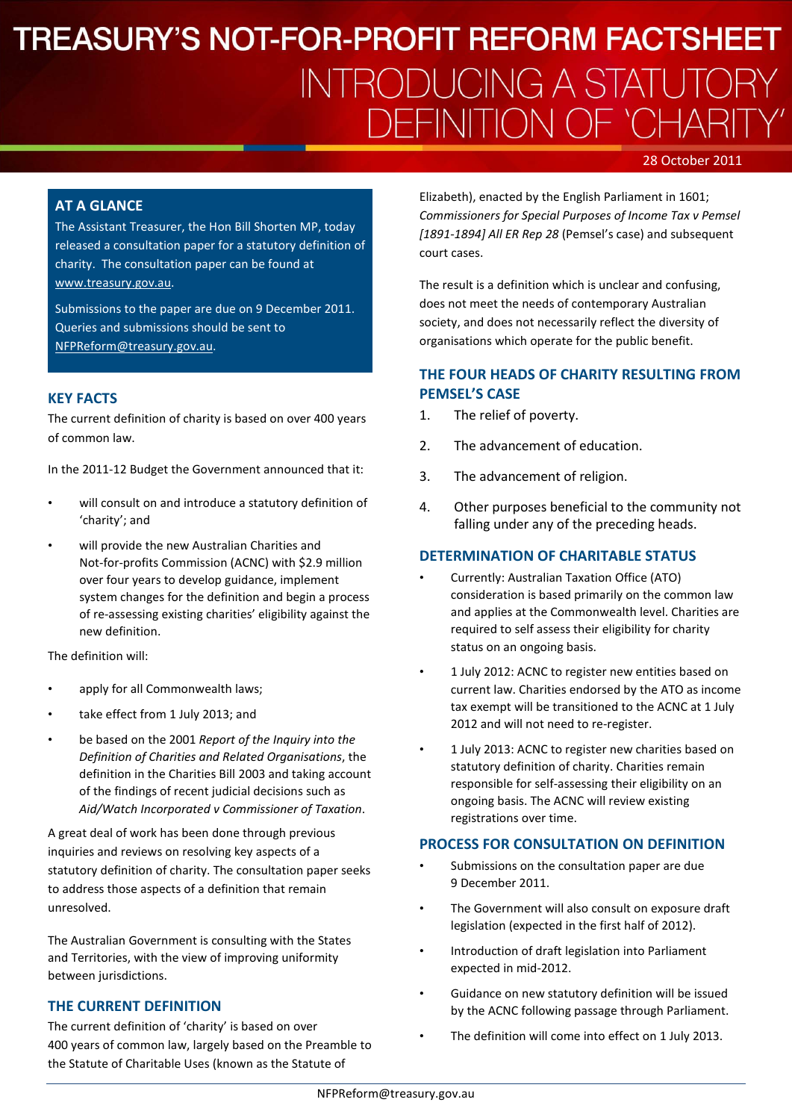# **TREASURY'S NOT-FOR-PROFIT REFORM FACTSHEET INTRODUCING A STATUTORY DEFINITION OF 'CHARIT**

### 28 October 2011

### **AT A GLANCE**

The Assistant Treasurer, the Hon Bill Shorten MP, today released a consultation paper for a statutory definition of charity. The consultation paper can be found at [www.treasury.gov.au.](http://www.treasury.gov.au/)

Submissions to the paper are due on 9 December 2011. Queries and submissions should be sent to [NFPReform@treasury.gov.au.](mailto:NFPReform@treasury.gov.au)

### **KEY FACTS**

The current definition of charity is based on over 400 years of common law.

In the 2011-12 Budget the Government announced that it:

- will consult on and introduce a statutory definition of 'charity'; and
- will provide the new Australian Charities and Not-for-profits Commission (ACNC) with \$2.9 million over four years to develop guidance, implement system changes for the definition and begin a process of re-assessing existing charities' eligibility against the new definition.

The definition will:

- apply for all Commonwealth laws;
- take effect from 1 July 2013; and
- be based on the 2001 *Report of the Inquiry into the Definition of Charities and Related Organisations*, the definition in the Charities Bill 2003 and taking account of the findings of recent judicial decisions such as *Aid/Watch Incorporated v Commissioner of Taxation*.

A great deal of work has been done through previous inquiries and reviews on resolving key aspects of a statutory definition of charity. The consultation paper seeks to address those aspects of a definition that remain unresolved.

The Australian Government is consulting with the States and Territories, with the view of improving uniformity between jurisdictions.

## **THE CURRENT DEFINITION**

The current definition of 'charity' is based on over 400 years of common law, largely based on the Preamble to the Statute of Charitable Uses (known as the Statute of

Elizabeth), enacted by the English Parliament in 1601; *Commissioners for Special Purposes of Income Tax v Pemsel [1891-1894] All ER Rep 28* (Pemsel's case) and subsequent court cases.

The result is a definition which is unclear and confusing, does not meet the needs of contemporary Australian society, and does not necessarily reflect the diversity of organisations which operate for the public benefit.

# **THE FOUR HEADS OF CHARITY RESULTING FROM PEMSEL'S CASE**

- 1. The relief of poverty.
- 2. The advancement of education.
- 3. The advancement of religion.
- 4. Other purposes beneficial to the community not falling under any of the preceding heads.

### **DETERMINATION OF CHARITABLE STATUS**

- Currently: Australian Taxation Office (ATO) consideration is based primarily on the common law and applies at the Commonwealth level. Charities are required to self assess their eligibility for charity status on an ongoing basis.
- 1 July 2012: ACNC to register new entities based on current law. Charities endorsed by the ATO as income tax exempt will be transitioned to the ACNC at 1 July 2012 and will not need to re-register.
- 1 July 2013: ACNC to register new charities based on statutory definition of charity. Charities remain responsible for self-assessing their eligibility on an ongoing basis. The ACNC will review existing registrations over time.

#### **PROCESS FOR CONSULTATION ON DEFINITION**

- Submissions on the consultation paper are due 9 December 2011.
- The Government will also consult on exposure draft legislation (expected in the first half of 2012).
- Introduction of draft legislation into Parliament expected in mid-2012.
- Guidance on new statutory definition will be issued by the ACNC following passage through Parliament.
- The definition will come into effect on 1 July 2013.